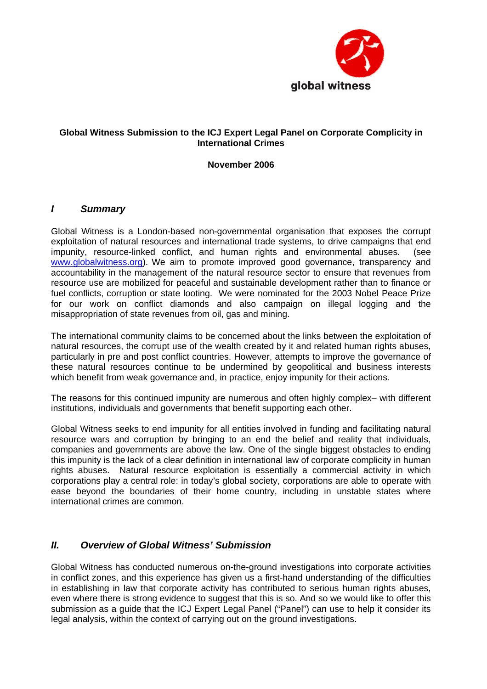

## **Global Witness Submission to the ICJ Expert Legal Panel on Corporate Complicity in International Crimes**

**November 2006** 

## *I Summary*

Global Witness is a London-based non-governmental organisation that exposes the corrupt exploitation of natural resources and international trade systems, to drive campaigns that end impunity, resource-linked conflict, and human rights and environmental abuses. (see [www.globalwitness.org](http://www.globalwitness.org/)). We aim to promote improved good governance, transparency and accountability in the management of the natural resource sector to ensure that revenues from resource use are mobilized for peaceful and sustainable development rather than to finance or fuel conflicts, corruption or state looting. We were nominated for the 2003 Nobel Peace Prize for our work on conflict diamonds and also campaign on illegal logging and the misappropriation of state revenues from oil, gas and mining.

The international community claims to be concerned about the links between the exploitation of natural resources, the corrupt use of the wealth created by it and related human rights abuses, particularly in pre and post conflict countries. However, attempts to improve the governance of these natural resources continue to be undermined by geopolitical and business interests which benefit from weak governance and, in practice, enjoy impunity for their actions.

The reasons for this continued impunity are numerous and often highly complex– with different institutions, individuals and governments that benefit supporting each other.

Global Witness seeks to end impunity for all entities involved in funding and facilitating natural resource wars and corruption by bringing to an end the belief and reality that individuals, companies and governments are above the law. One of the single biggest obstacles to ending this impunity is the lack of a clear definition in international law of corporate complicity in human rights abuses. Natural resource exploitation is essentially a commercial activity in which corporations play a central role: in today's global society, corporations are able to operate with ease beyond the boundaries of their home country, including in unstable states where international crimes are common.

## *II. Overview of Global Witness' Submission*

Global Witness has conducted numerous on-the-ground investigations into corporate activities in conflict zones, and this experience has given us a first-hand understanding of the difficulties in establishing in law that corporate activity has contributed to serious human rights abuses, even where there is strong evidence to suggest that this is so. And so we would like to offer this submission as a guide that the ICJ Expert Legal Panel ("Panel") can use to help it consider its legal analysis, within the context of carrying out on the ground investigations.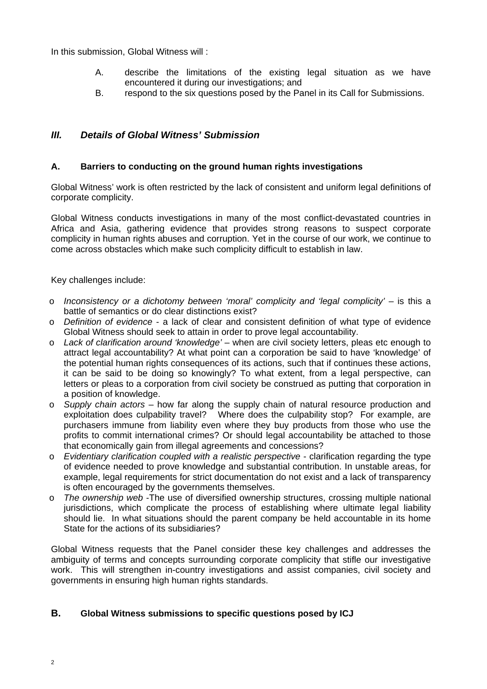In this submission, Global Witness will :

- A. describe the limitations of the existing legal situation as we have encountered it during our investigations; and
- B. respond to the six questions posed by the Panel in its Call for Submissions.

# *III. Details of Global Witness' Submission*

## **A. Barriers to conducting on the ground human rights investigations**

Global Witness' work is often restricted by the lack of consistent and uniform legal definitions of corporate complicity.

Global Witness conducts investigations in many of the most conflict-devastated countries in Africa and Asia, gathering evidence that provides strong reasons to suspect corporate complicity in human rights abuses and corruption. Yet in the course of our work, we continue to come across obstacles which make such complicity difficult to establish in law.

Key challenges include:

- o *Inconsistency or a dichotomy between 'moral' complicity and 'legal complicity'* is this a battle of semantics or do clear distinctions exist?
- o *Definition of evidence* a lack of clear and consistent definition of what type of evidence Global Witness should seek to attain in order to prove legal accountability.
- o *Lack of clarification around 'knowledge'* when are civil society letters, pleas etc enough to attract legal accountability? At what point can a corporation be said to have 'knowledge' of the potential human rights consequences of its actions, such that if continues these actions, it can be said to be doing so knowingly? To what extent, from a legal perspective, can letters or pleas to a corporation from civil society be construed as putting that corporation in a position of knowledge.
- o *Supply chain actors* how far along the supply chain of natural resource production and exploitation does culpability travel? Where does the culpability stop? For example, are purchasers immune from liability even where they buy products from those who use the profits to commit international crimes? Or should legal accountability be attached to those that economically gain from illegal agreements and concessions?
- o *Evidentiary clarification coupled with a realistic perspective* clarification regarding the type of evidence needed to prove knowledge and substantial contribution. In unstable areas, for example, legal requirements for strict documentation do not exist and a lack of transparency is often encouraged by the governments themselves.
- o *The ownership web* -The use of diversified ownership structures, crossing multiple national jurisdictions, which complicate the process of establishing where ultimate legal liability should lie. In what situations should the parent company be held accountable in its home State for the actions of its subsidiaries?

Global Witness requests that the Panel consider these key challenges and addresses the ambiguity of terms and concepts surrounding corporate complicity that stifle our investigative work. This will strengthen in-country investigations and assist companies, civil society and governments in ensuring high human rights standards.

## **B. Global Witness submissions to specific questions posed by ICJ**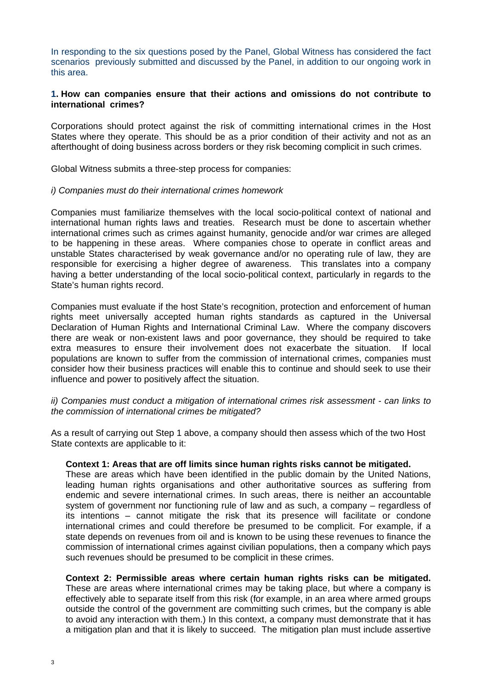In responding to the six questions posed by the Panel, Global Witness has considered the fact scenarios previously submitted and discussed by the Panel, in addition to our ongoing work in this area.

### **1. How can companies ensure that their actions and omissions do not contribute to international crimes?**

Corporations should protect against the risk of committing international crimes in the Host States where they operate. This should be as a prior condition of their activity and not as an afterthought of doing business across borders or they risk becoming complicit in such crimes.

Global Witness submits a three-step process for companies:

#### *i) Companies must do their international crimes homework*

Companies must familiarize themselves with the local socio-political context of national and international human rights laws and treaties. Research must be done to ascertain whether international crimes such as crimes against humanity, genocide and/or war crimes are alleged to be happening in these areas. Where companies chose to operate in conflict areas and unstable States characterised by weak governance and/or no operating rule of law, they are responsible for exercising a higher degree of awareness. This translates into a company having a better understanding of the local socio-political context, particularly in regards to the State's human rights record.

Companies must evaluate if the host State's recognition, protection and enforcement of human rights meet universally accepted human rights standards as captured in the Universal Declaration of Human Rights and International Criminal Law. Where the company discovers there are weak or non-existent laws and poor governance, they should be required to take extra measures to ensure their involvement does not exacerbate the situation. If local populations are known to suffer from the commission of international crimes, companies must consider how their business practices will enable this to continue and should seek to use their influence and power to positively affect the situation.

### *ii) Companies must conduct a mitigation of international crimes risk assessment - can links to the commission of international crimes be mitigated?*

As a result of carrying out Step 1 above, a company should then assess which of the two Host State contexts are applicable to it:

#### **Context 1: Areas that are off limits since human rights risks cannot be mitigated.**

These are areas which have been identified in the public domain by the United Nations, leading human rights organisations and other authoritative sources as suffering from endemic and severe international crimes. In such areas, there is neither an accountable system of government nor functioning rule of law and as such, a company – regardless of its intentions – cannot mitigate the risk that its presence will facilitate or condone international crimes and could therefore be presumed to be complicit. For example, if a state depends on revenues from oil and is known to be using these revenues to finance the commission of international crimes against civilian populations, then a company which pays such revenues should be presumed to be complicit in these crimes.

**Context 2: Permissible areas where certain human rights risks can be mitigated.** These are areas where international crimes may be taking place, but where a company is effectively able to separate itself from this risk (for example, in an area where armed groups outside the control of the government are committing such crimes, but the company is able to avoid any interaction with them.) In this context, a company must demonstrate that it has a mitigation plan and that it is likely to succeed. The mitigation plan must include assertive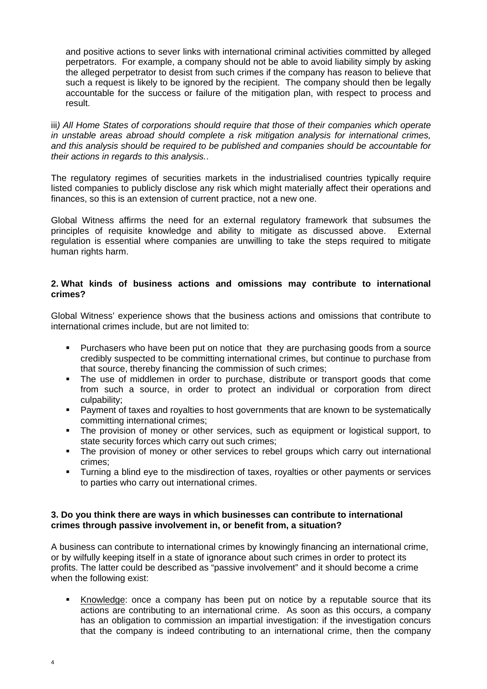and positive actions to sever links with international criminal activities committed by alleged perpetrators. For example, a company should not be able to avoid liability simply by asking the alleged perpetrator to desist from such crimes if the company has reason to believe that such a request is likely to be ignored by the recipient. The company should then be legally accountable for the success or failure of the mitigation plan, with respect to process and result.

iii*) All Home States of corporations should require that those of their companies which operate in unstable areas abroad should complete a risk mitigation analysis for international crimes, and this analysis should be required to be published and companies should be accountable for their actions in regards to this analysis.*.

The regulatory regimes of securities markets in the industrialised countries typically require listed companies to publicly disclose any risk which might materially affect their operations and finances, so this is an extension of current practice, not a new one.

Global Witness affirms the need for an external regulatory framework that subsumes the principles of requisite knowledge and ability to mitigate as discussed above. External regulation is essential where companies are unwilling to take the steps required to mitigate human rights harm.

### **2. What kinds of business actions and omissions may contribute to international crimes?**

Global Witness' experience shows that the business actions and omissions that contribute to international crimes include, but are not limited to:

- Purchasers who have been put on notice that they are purchasing goods from a source credibly suspected to be committing international crimes, but continue to purchase from that source, thereby financing the commission of such crimes;
- The use of middlemen in order to purchase, distribute or transport goods that come from such a source, in order to protect an individual or corporation from direct culpability;
- Payment of taxes and royalties to host governments that are known to be systematically committing international crimes;
- The provision of money or other services, such as equipment or logistical support, to state security forces which carry out such crimes;
- The provision of money or other services to rebel groups which carry out international crimes;
- **Turning a blind eye to the misdirection of taxes, royalties or other payments or services** to parties who carry out international crimes.

## **3. Do you think there are ways in which businesses can contribute to international crimes through passive involvement in, or benefit from, a situation?**

A business can contribute to international crimes by knowingly financing an international crime, or by wilfully keeping itself in a state of ignorance about such crimes in order to protect its profits. The latter could be described as "passive involvement" and it should become a crime when the following exist:

Knowledge: once a company has been put on notice by a reputable source that its actions are contributing to an international crime. As soon as this occurs, a company has an obligation to commission an impartial investigation: if the investigation concurs that the company is indeed contributing to an international crime, then the company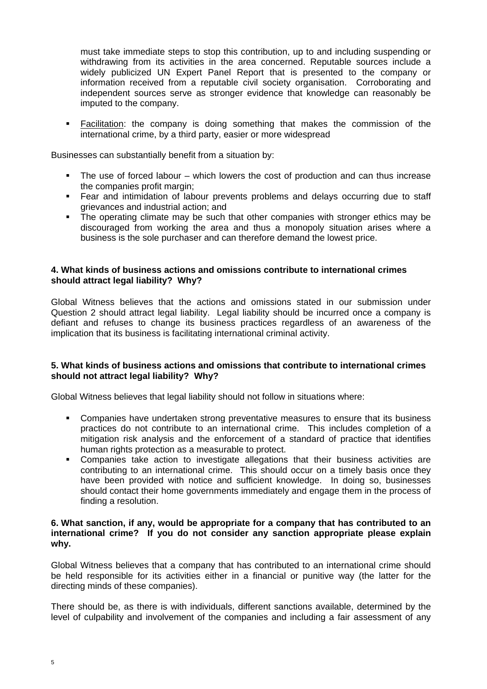must take immediate steps to stop this contribution, up to and including suspending or withdrawing from its activities in the area concerned. Reputable sources include a widely publicized UN Expert Panel Report that is presented to the company or information received from a reputable civil society organisation. Corroborating and independent sources serve as stronger evidence that knowledge can reasonably be imputed to the company.

 Facilitation: the company is doing something that makes the commission of the international crime, by a third party, easier or more widespread

Businesses can substantially benefit from a situation by:

- The use of forced labour which lowers the cost of production and can thus increase the companies profit margin;
- Fear and intimidation of labour prevents problems and delays occurring due to staff grievances and industrial action; and
- The operating climate may be such that other companies with stronger ethics may be discouraged from working the area and thus a monopoly situation arises where a business is the sole purchaser and can therefore demand the lowest price.

### **4. What kinds of business actions and omissions contribute to international crimes should attract legal liability? Why?**

Global Witness believes that the actions and omissions stated in our submission under Question 2 should attract legal liability. Legal liability should be incurred once a company is defiant and refuses to change its business practices regardless of an awareness of the implication that its business is facilitating international criminal activity.

## **5. What kinds of business actions and omissions that contribute to international crimes should not attract legal liability? Why?**

Global Witness believes that legal liability should not follow in situations where:

- **•** Companies have undertaken strong preventative measures to ensure that its business practices do not contribute to an international crime. This includes completion of a mitigation risk analysis and the enforcement of a standard of practice that identifies human rights protection as a measurable to protect.
- Companies take action to investigate allegations that their business activities are contributing to an international crime. This should occur on a timely basis once they have been provided with notice and sufficient knowledge. In doing so, businesses should contact their home governments immediately and engage them in the process of finding a resolution.

### **6. What sanction, if any, would be appropriate for a company that has contributed to an international crime? If you do not consider any sanction appropriate please explain why.**

Global Witness believes that a company that has contributed to an international crime should be held responsible for its activities either in a financial or punitive way (the latter for the directing minds of these companies).

There should be, as there is with individuals, different sanctions available, determined by the level of culpability and involvement of the companies and including a fair assessment of any